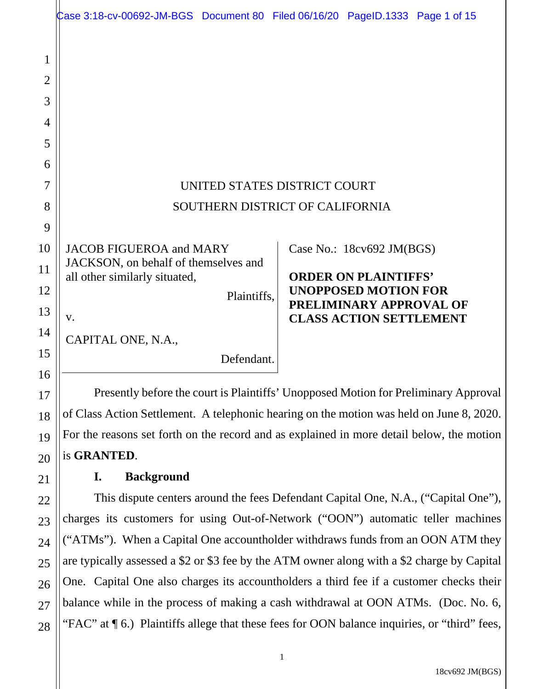|                                    | Case 3:18-cv-00692-JM-BGS Document 80 Filed 06/16/20 PageID.1333 Page 1 of 15               |             |  |                                                               |  |  |
|------------------------------------|---------------------------------------------------------------------------------------------|-------------|--|---------------------------------------------------------------|--|--|
| 1<br>$\overline{2}$<br>3<br>4<br>5 |                                                                                             |             |  |                                                               |  |  |
| 6                                  |                                                                                             |             |  |                                                               |  |  |
| 7                                  | UNITED STATES DISTRICT COURT                                                                |             |  |                                                               |  |  |
| 8                                  | SOUTHERN DISTRICT OF CALIFORNIA                                                             |             |  |                                                               |  |  |
| 9                                  |                                                                                             |             |  |                                                               |  |  |
| 10                                 | <b>JACOB FIGUEROA and MARY</b>                                                              |             |  | Case No.: 18cv692 JM(BGS)                                     |  |  |
| 11                                 | JACKSON, on behalf of themselves and<br>all other similarly situated,                       |             |  | <b>ORDER ON PLAINTIFFS'</b>                                   |  |  |
| 12                                 |                                                                                             | Plaintiffs, |  | <b>UNOPPOSED MOTION FOR</b><br><b>PRELIMINARY APPROVAL OF</b> |  |  |
| 13                                 | V.                                                                                          |             |  | <b>CLASS ACTION SETTLEMENT</b>                                |  |  |
| 14                                 | CAPITAL ONE, N.A.,                                                                          |             |  |                                                               |  |  |
| 15                                 |                                                                                             | Defendant.  |  |                                                               |  |  |
| 16                                 | Presently before the court is Plaintiffs' Unopposed Motion for Preliminary Approval         |             |  |                                                               |  |  |
| 17                                 | of Class Action Settlement. A telephonic hearing on the motion was held on June 8, 2020.    |             |  |                                                               |  |  |
| 18                                 | For the reasons set forth on the record and as explained in more detail below, the motion   |             |  |                                                               |  |  |
| 19<br>20                           | is GRANTED.                                                                                 |             |  |                                                               |  |  |
| 21                                 | I.<br><b>Background</b>                                                                     |             |  |                                                               |  |  |
| 22                                 | This dispute centers around the fees Defendant Capital One, N.A., ("Capital One"),          |             |  |                                                               |  |  |
| 23                                 | charges its customers for using Out-of-Network ("OON") automatic teller machines            |             |  |                                                               |  |  |
| 24                                 | ("ATMs"). When a Capital One accountholder withdraws funds from an OON ATM they             |             |  |                                                               |  |  |
| 25                                 | are typically assessed a \$2 or \$3 fee by the ATM owner along with a \$2 charge by Capital |             |  |                                                               |  |  |

26 27 28 are typically assessed a \$2 or \$3 fee by the ATM owner along with a \$2 charge by Capital One. Capital One also charges its accountholders a third fee if a customer checks their balance while in the process of making a cash withdrawal at OON ATMs. (Doc. No. 6, "FAC" at  $\P$  6.) Plaintiffs allege that these fees for OON balance inquiries, or "third" fees,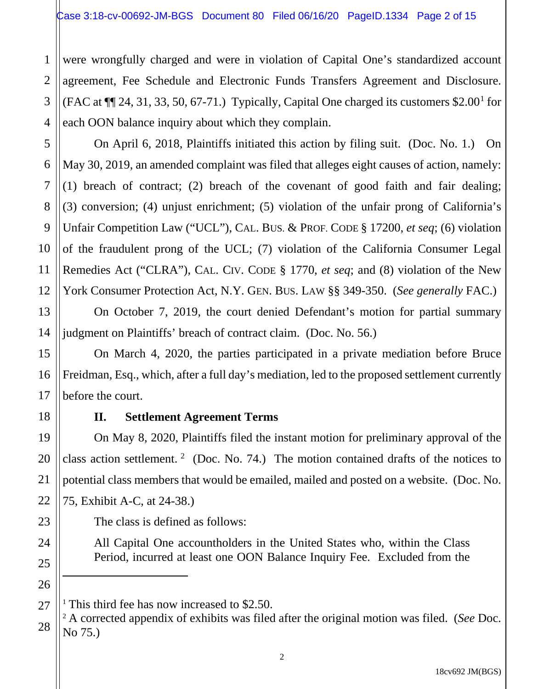were wrongfully charged and were in violation of Capital One's standardized account agreement, Fee Schedule and Electronic Funds Transfers Agreement and Disclosure. (FAC at  $\P$  24, 31, 33, 50, 67-71.) Typically, Capital One charged its customers \$2.00<sup>1</sup> for each OON balance inquiry about which they complain.

On April 6, 2018, Plaintiffs initiated this action by filing suit. (Doc. No. 1.) On May 30, 2019, an amended complaint was filed that alleges eight causes of action, namely: (1) breach of contract; (2) breach of the covenant of good faith and fair dealing; (3) conversion; (4) unjust enrichment; (5) violation of the unfair prong of California's Unfair Competition Law ("UCL"), CAL. BUS. & PROF. CODE § 17200, *et seq*; (6) violation of the fraudulent prong of the UCL; (7) violation of the California Consumer Legal Remedies Act ("CLRA"), CAL. CIV. CODE § 1770, *et seq*; and (8) violation of the New York Consumer Protection Act, N.Y. GEN. BUS. LAW §§ 349-350. (*See generally* FAC.)

On October 7, 2019, the court denied Defendant's motion for partial summary judgment on Plaintiffs' breach of contract claim. (Doc. No. 56.)

On March 4, 2020, the parties participated in a private mediation before Bruce Freidman, Esq., which, after a full day's mediation, led to the proposed settlement currently before the court.

1

2

3

4

5

6

7

8

9

10

11

12

13

14

15

16

17

18

19

20

21

22

23

24

25

26

 $\overline{a}$ 

27

## **II. Settlement Agreement Terms**

On May 8, 2020, Plaintiffs filed the instant motion for preliminary approval of the class action settlement.<sup>2</sup> (Doc. No. 74.) The motion contained drafts of the notices to potential class members that would be emailed, mailed and posted on a website. (Doc. No. 75, Exhibit A-C, at 24-38.)

The class is defined as follows:

All Capital One accountholders in the United States who, within the Class Period, incurred at least one OON Balance Inquiry Fee. Excluded from the

<sup>&</sup>lt;sup>1</sup> This third fee has now increased to  $$2.50$ .

<sup>28</sup> <sup>2</sup> A corrected appendix of exhibits was filed after the original motion was filed. (*See* Doc. No 75.)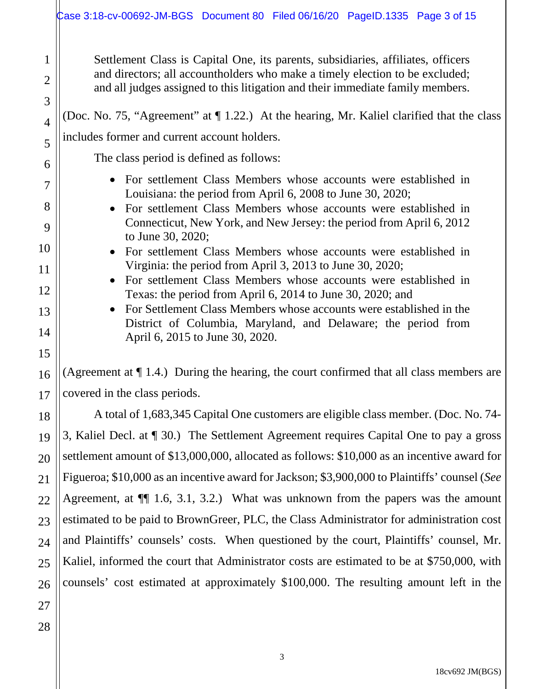Settlement Class is Capital One, its parents, subsidiaries, affiliates, officers and directors; all accountholders who make a timely election to be excluded; and all judges assigned to this litigation and their immediate family members.

(Doc. No. 75, "Agreement" at ¶ 1.22.) At the hearing, Mr. Kaliel clarified that the class includes former and current account holders.

The class period is defined as follows:

- For settlement Class Members whose accounts were established in Louisiana: the period from April 6, 2008 to June 30, 2020;
- For settlement Class Members whose accounts were established in Connecticut, New York, and New Jersey: the period from April 6, 2012 to June 30, 2020;
- For settlement Class Members whose accounts were established in Virginia: the period from April 3, 2013 to June 30, 2020;
- For settlement Class Members whose accounts were established in Texas: the period from April 6, 2014 to June 30, 2020; and
- For Settlement Class Members whose accounts were established in the District of Columbia, Maryland, and Delaware; the period from April 6, 2015 to June 30, 2020.

(Agreement at ¶ 1.4.) During the hearing, the court confirmed that all class members are covered in the class periods.

A total of 1,683,345 Capital One customers are eligible class member. (Doc. No. 74- 3, Kaliel Decl. at ¶ 30.) The Settlement Agreement requires Capital One to pay a gross settlement amount of \$13,000,000, allocated as follows: \$10,000 as an incentive award for Figueroa; \$10,000 as an incentive award for Jackson; \$3,900,000 to Plaintiffs' counsel (*See* Agreement, at ¶¶ 1.6, 3.1, 3.2.) What was unknown from the papers was the amount estimated to be paid to BrownGreer, PLC, the Class Administrator for administration cost and Plaintiffs' counsels' costs. When questioned by the court, Plaintiffs' counsel, Mr. Kaliel, informed the court that Administrator costs are estimated to be at \$750,000, with counsels' cost estimated at approximately \$100,000. The resulting amount left in the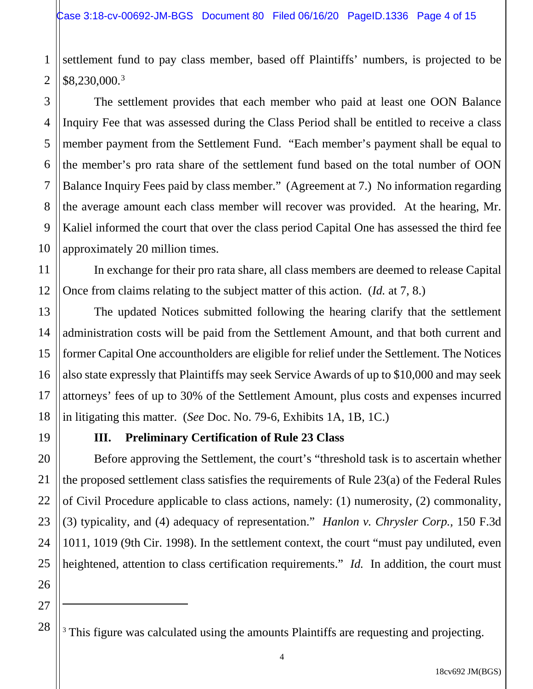1 2 settlement fund to pay class member, based off Plaintiffs' numbers, is projected to be \$8,230,000.3

The settlement provides that each member who paid at least one OON Balance Inquiry Fee that was assessed during the Class Period shall be entitled to receive a class member payment from the Settlement Fund. "Each member's payment shall be equal to the member's pro rata share of the settlement fund based on the total number of OON Balance Inquiry Fees paid by class member." (Agreement at 7.) No information regarding the average amount each class member will recover was provided. At the hearing, Mr. Kaliel informed the court that over the class period Capital One has assessed the third fee approximately 20 million times.

In exchange for their pro rata share, all class members are deemed to release Capital Once from claims relating to the subject matter of this action. (*Id.* at 7, 8.)

The updated Notices submitted following the hearing clarify that the settlement administration costs will be paid from the Settlement Amount, and that both current and former Capital One accountholders are eligible for relief under the Settlement. The Notices also state expressly that Plaintiffs may seek Service Awards of up to \$10,000 and may seek attorneys' fees of up to 30% of the Settlement Amount, plus costs and expenses incurred in litigating this matter. (*See* Doc. No. 79-6, Exhibits 1A, 1B, 1C.)

19

3

4

5

6

7

8

9

10

11

12

13

14

15

16

17

18

20

21

22

23

24

25

26

# **III. Preliminary Certification of Rule 23 Class**

Before approving the Settlement, the court's "threshold task is to ascertain whether the proposed settlement class satisfies the requirements of Rule 23(a) of the Federal Rules of Civil Procedure applicable to class actions, namely: (1) numerosity, (2) commonality, (3) typicality, and (4) adequacy of representation." *Hanlon v. Chrysler Corp.,* 150 F.3d 1011, 1019 (9th Cir. 1998). In the settlement context, the court "must pay undiluted, even heightened, attention to class certification requirements." *Id.* In addition, the court must

27

 $\overline{a}$ 

<sup>&</sup>lt;sup>3</sup> This figure was calculated using the amounts Plaintiffs are requesting and projecting.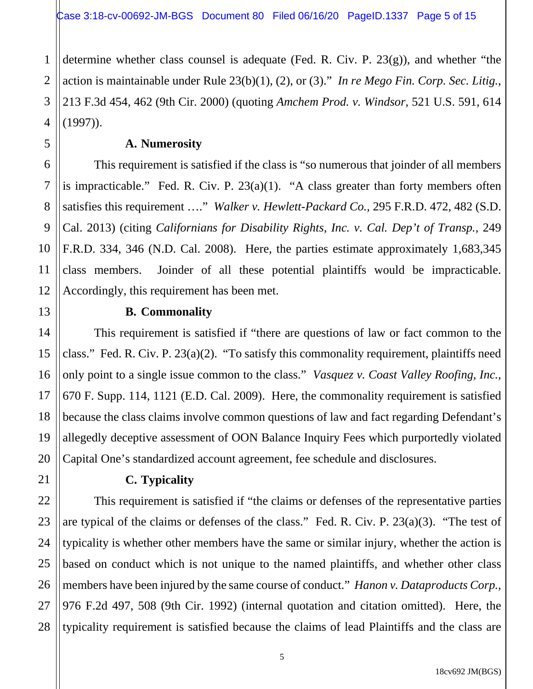determine whether class counsel is adequate (Fed. R. Civ. P. 23(g)), and whether "the action is maintainable under Rule 23(b)(1), (2), or (3)." *In re Mego Fin. Corp. Sec. Litig.*, 213 F.3d 454, 462 (9th Cir. 2000) (quoting *Amchem Prod. v. Windsor*, 521 U.S. 591, 614 (1997)).

**A. Numerosity**

This requirement is satisfied if the class is "so numerous that joinder of all members is impracticable." Fed. R. Civ. P.  $23(a)(1)$ . "A class greater than forty members often satisfies this requirement …." *Walker v. Hewlett-Packard Co.,* 295 F.R.D. 472, 482 (S.D. Cal. 2013) (citing *Californians for Disability Rights, Inc. v. Cal. Dep't of Transp.*, 249 F.R.D. 334, 346 (N.D. Cal. 2008). Here, the parties estimate approximately 1,683,345 class members. Joinder of all these potential plaintiffs would be impracticable. Accordingly, this requirement has been met.

### **B. Commonality**

This requirement is satisfied if "there are questions of law or fact common to the class." Fed. R. Civ. P. 23(a)(2). "To satisfy this commonality requirement, plaintiffs need only point to a single issue common to the class." *Vasquez v. Coast Valley Roofing, Inc.,*  670 F. Supp. 114, 1121 (E.D. Cal. 2009). Here, the commonality requirement is satisfied because the class claims involve common questions of law and fact regarding Defendant's allegedly deceptive assessment of OON Balance Inquiry Fees which purportedly violated Capital One's standardized account agreement, fee schedule and disclosures.

## **C. Typicality**

This requirement is satisfied if "the claims or defenses of the representative parties are typical of the claims or defenses of the class." Fed. R. Civ. P. 23(a)(3). "The test of typicality is whether other members have the same or similar injury, whether the action is based on conduct which is not unique to the named plaintiffs, and whether other class members have been injured by the same course of conduct." *Hanon v. Dataproducts Corp.,* 976 F.2d 497, 508 (9th Cir. 1992) (internal quotation and citation omitted). Here, the typicality requirement is satisfied because the claims of lead Plaintiffs and the class are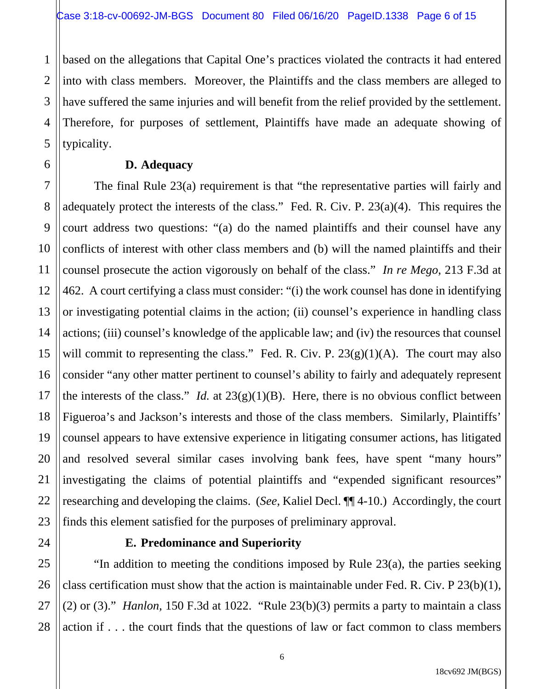2 3 4 based on the allegations that Capital One's practices violated the contracts it had entered into with class members. Moreover, the Plaintiffs and the class members are alleged to have suffered the same injuries and will benefit from the relief provided by the settlement. Therefore, for purposes of settlement, Plaintiffs have made an adequate showing of typicality.

#### **D. Adequacy**

7 8 9 10 12 13 14 15 16 17 18 19 The final Rule 23(a) requirement is that "the representative parties will fairly and adequately protect the interests of the class." Fed. R. Civ. P. 23(a)(4). This requires the court address two questions: "(a) do the named plaintiffs and their counsel have any conflicts of interest with other class members and (b) will the named plaintiffs and their counsel prosecute the action vigorously on behalf of the class." *In re Mego*, 213 F.3d at 462. A court certifying a class must consider: "(i) the work counsel has done in identifying or investigating potential claims in the action; (ii) counsel's experience in handling class actions; (iii) counsel's knowledge of the applicable law; and (iv) the resources that counsel will commit to representing the class." Fed. R. Civ. P.  $23(g)(1)(A)$ . The court may also consider "any other matter pertinent to counsel's ability to fairly and adequately represent the interests of the class." *Id.* at  $23(g)(1)(B)$ . Here, there is no obvious conflict between Figueroa's and Jackson's interests and those of the class members. Similarly, Plaintiffs' counsel appears to have extensive experience in litigating consumer actions, has litigated and resolved several similar cases involving bank fees, have spent "many hours" investigating the claims of potential plaintiffs and "expended significant resources" researching and developing the claims. (*See*, Kaliel Decl. ¶¶ 4-10.) Accordingly, the court finds this element satisfied for the purposes of preliminary approval.

1

5

6

11

### **E. Predominance and Superiority**

"In addition to meeting the conditions imposed by Rule 23(a), the parties seeking class certification must show that the action is maintainable under Fed. R. Civ. P 23(b)(1), (2) or (3)." *Hanlon*,  $150$  F.3d at  $1022$ . "Rule  $23(b)(3)$  permits a party to maintain a class action if . . . the court finds that the questions of law or fact common to class members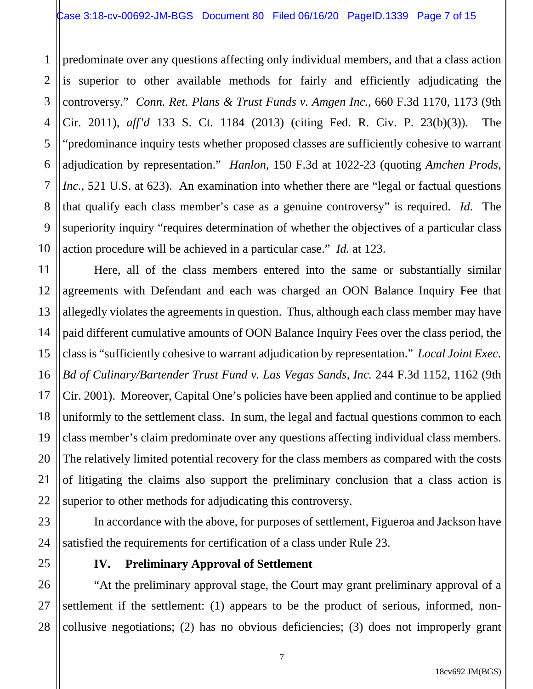2 3 4 5 6 8 9 10 predominate over any questions affecting only individual members, and that a class action is superior to other available methods for fairly and efficiently adjudicating the controversy." *Conn. Ret. Plans & Trust Funds v. Amgen Inc.,* 660 F.3d 1170, 1173 (9th Cir. 2011), *aff'd* 133 S. Ct. 1184 (2013) (citing Fed. R. Civ. P. 23(b)(3)). The "predominance inquiry tests whether proposed classes are sufficiently cohesive to warrant adjudication by representation." *Hanlon,* 150 F.3d at 1022-23 (quoting *Amchen Prods, Inc.*, 521 U.S. at 623). An examination into whether there are "legal or factual questions" that qualify each class member's case as a genuine controversy" is required. *Id.* The superiority inquiry "requires determination of whether the objectives of a particular class action procedure will be achieved in a particular case." *Id.* at 123.

Here, all of the class members entered into the same or substantially similar agreements with Defendant and each was charged an OON Balance Inquiry Fee that allegedly violates the agreements in question. Thus, although each class member may have paid different cumulative amounts of OON Balance Inquiry Fees over the class period, the class is "sufficiently cohesive to warrant adjudication by representation." *Local Joint Exec. Bd of Culinary/Bartender Trust Fund v. Las Vegas Sands, Inc.* 244 F.3d 1152, 1162 (9th Cir. 2001). Moreover, Capital One's policies have been applied and continue to be applied uniformly to the settlement class. In sum, the legal and factual questions common to each class member's claim predominate over any questions affecting individual class members. The relatively limited potential recovery for the class members as compared with the costs of litigating the claims also support the preliminary conclusion that a class action is superior to other methods for adjudicating this controversy.

In accordance with the above, for purposes of settlement, Figueroa and Jackson have satisfied the requirements for certification of a class under Rule 23.

1

7

11

12

13

14

15

16

17

18

19

20

21

22

23

24

25

# **IV. Preliminary Approval of Settlement**

26 27 28 "At the preliminary approval stage, the Court may grant preliminary approval of a settlement if the settlement: (1) appears to be the product of serious, informed, noncollusive negotiations; (2) has no obvious deficiencies; (3) does not improperly grant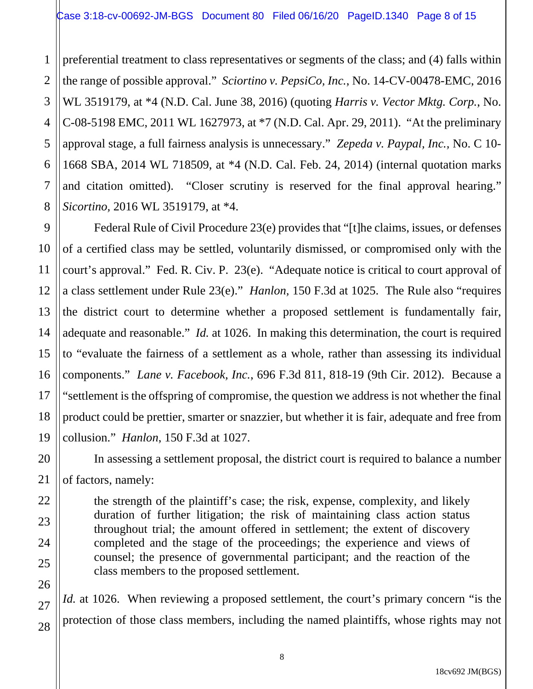2 3 4 5 6 preferential treatment to class representatives or segments of the class; and (4) falls within the range of possible approval." *Sciortino v. PepsiCo, Inc.*, No. 14-CV-00478-EMC, 2016 WL 3519179, at \*4 (N.D. Cal. June 38, 2016) (quoting *Harris v. Vector Mktg. Corp.*, No. C-08-5198 EMC, 2011 WL 1627973, at \*7 (N.D. Cal. Apr. 29, 2011). "At the preliminary approval stage, a full fairness analysis is unnecessary." *Zepeda v. Paypal, Inc.,* No. C 10- 1668 SBA, 2014 WL 718509, at \*4 (N.D. Cal. Feb. 24, 2014) (internal quotation marks and citation omitted). "Closer scrutiny is reserved for the final approval hearing." *Sicortino,* 2016 WL 3519179, at \*4.

Federal Rule of Civil Procedure 23(e) provides that "[t]he claims, issues, or defenses of a certified class may be settled, voluntarily dismissed, or compromised only with the court's approval." Fed. R. Civ. P. 23(e). "Adequate notice is critical to court approval of a class settlement under Rule 23(e)." *Hanlon,* 150 F.3d at 1025. The Rule also "requires the district court to determine whether a proposed settlement is fundamentally fair, adequate and reasonable." *Id.* at 1026. In making this determination, the court is required to "evaluate the fairness of a settlement as a whole, rather than assessing its individual components." *Lane v. Facebook, Inc.*, 696 F.3d 811, 818-19 (9th Cir. 2012). Because a "settlement is the offspring of compromise, the question we address is not whether the final product could be prettier, smarter or snazzier, but whether it is fair, adequate and free from collusion." *Hanlon*, 150 F.3d at 1027.

In assessing a settlement proposal, the district court is required to balance a number of factors, namely:

the strength of the plaintiff's case; the risk, expense, complexity, and likely duration of further litigation; the risk of maintaining class action status throughout trial; the amount offered in settlement; the extent of discovery completed and the stage of the proceedings; the experience and views of counsel; the presence of governmental participant; and the reaction of the class members to the proposed settlement.

*Id.* at 1026. When reviewing a proposed settlement, the court's primary concern "is the protection of those class members, including the named plaintiffs, whose rights may not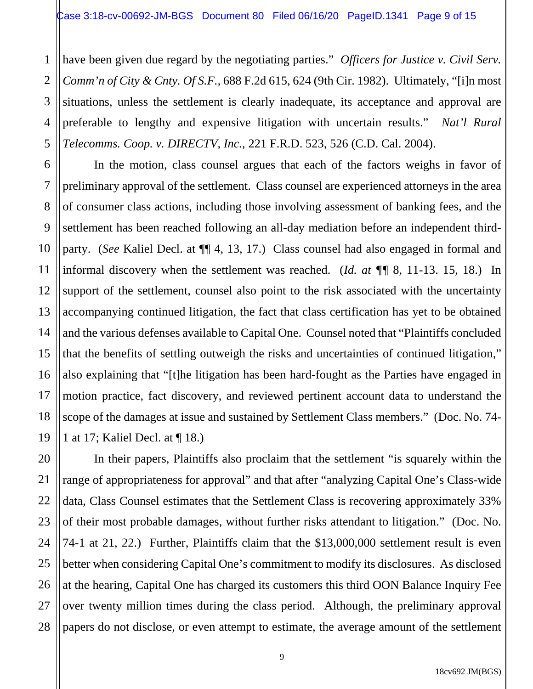1

7

11

20

21

22

27

28

2 3 4 5 have been given due regard by the negotiating parties." *Officers for Justice v. Civil Serv. Comm'n of City & Cnty. Of S.F.,* 688 F.2d 615, 624 (9th Cir. 1982). Ultimately, "[i]n most situations, unless the settlement is clearly inadequate, its acceptance and approval are preferable to lengthy and expensive litigation with uncertain results." *Nat'l Rural Telecomms. Coop. v. DIRECTV, Inc.*, 221 F.R.D. 523, 526 (C.D. Cal. 2004).

6 8 9 10 12 13 14 15 16 17 18 19 In the motion, class counsel argues that each of the factors weighs in favor of preliminary approval of the settlement. Class counsel are experienced attorneys in the area of consumer class actions, including those involving assessment of banking fees, and the settlement has been reached following an all-day mediation before an independent thirdparty. (*See* Kaliel Decl. at ¶¶ 4, 13, 17.) Class counsel had also engaged in formal and informal discovery when the settlement was reached. (*Id. at ¶¶* 8, 11-13. 15, 18.)In support of the settlement, counsel also point to the risk associated with the uncertainty accompanying continued litigation, the fact that class certification has yet to be obtained and the various defenses available to Capital One. Counsel noted that "Plaintiffs concluded that the benefits of settling outweigh the risks and uncertainties of continued litigation," also explaining that "[t]he litigation has been hard-fought as the Parties have engaged in motion practice, fact discovery, and reviewed pertinent account data to understand the scope of the damages at issue and sustained by Settlement Class members." (Doc. No. 74- 1 at 17; Kaliel Decl. at ¶ 18.)

23 24 25 26 In their papers, Plaintiffs also proclaim that the settlement "is squarely within the range of appropriateness for approval" and that after "analyzing Capital One's Class-wide data, Class Counsel estimates that the Settlement Class is recovering approximately 33% of their most probable damages, without further risks attendant to litigation." (Doc. No. 74-1 at 21, 22.) Further, Plaintiffs claim that the \$13,000,000 settlement result is even better when considering Capital One's commitment to modify its disclosures. As disclosed at the hearing, Capital One has charged its customers this third OON Balance Inquiry Fee over twenty million times during the class period. Although, the preliminary approval papers do not disclose, or even attempt to estimate, the average amount of the settlement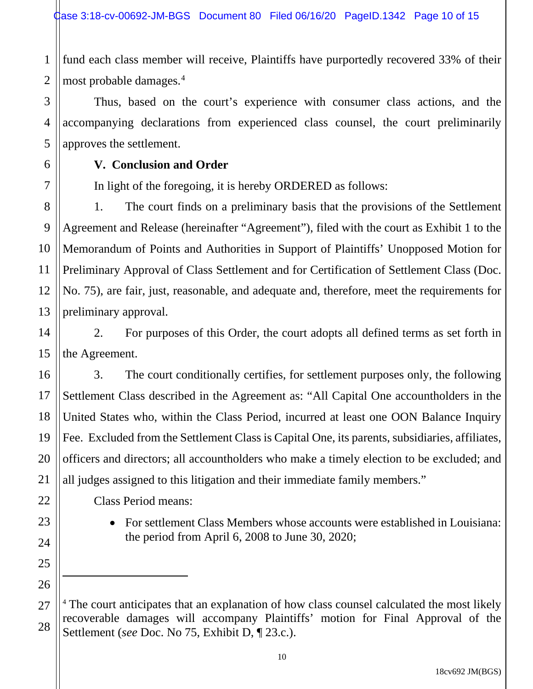1 2 fund each class member will receive, Plaintiffs have purportedly recovered 33% of their most probable damages.4

Thus, based on the court's experience with consumer class actions, and the accompanying declarations from experienced class counsel, the court preliminarily approves the settlement.

## **V. Conclusion and Order**

3

4

5

6

7

9

11

14

15

17

18

19

20

21

22

23

24

25

26

 $\overline{a}$ 

27

28

In light of the foregoing, it is hereby ORDERED as follows:

8 10 12 13 1. The court finds on a preliminary basis that the provisions of the Settlement Agreement and Release (hereinafter "Agreement"), filed with the court as Exhibit 1 to the Memorandum of Points and Authorities in Support of Plaintiffs' Unopposed Motion for Preliminary Approval of Class Settlement and for Certification of Settlement Class (Doc. No. 75), are fair, just, reasonable, and adequate and, therefore, meet the requirements for preliminary approval.

2. For purposes of this Order, the court adopts all defined terms as set forth in the Agreement.

16 3. The court conditionally certifies, for settlement purposes only, the following Settlement Class described in the Agreement as: "All Capital One accountholders in the United States who, within the Class Period, incurred at least one OON Balance Inquiry Fee. Excluded from the Settlement Class is Capital One, its parents, subsidiaries, affiliates, officers and directors; all accountholders who make a timely election to be excluded; and all judges assigned to this litigation and their immediate family members."

Class Period means:

• For settlement Class Members whose accounts were established in Louisiana: the period from April 6, 2008 to June 30, 2020;

<sup>&</sup>lt;sup>4</sup> The court anticipates that an explanation of how class counsel calculated the most likely recoverable damages will accompany Plaintiffs' motion for Final Approval of the Settlement (*see* Doc. No 75, Exhibit D, ¶ 23.c.).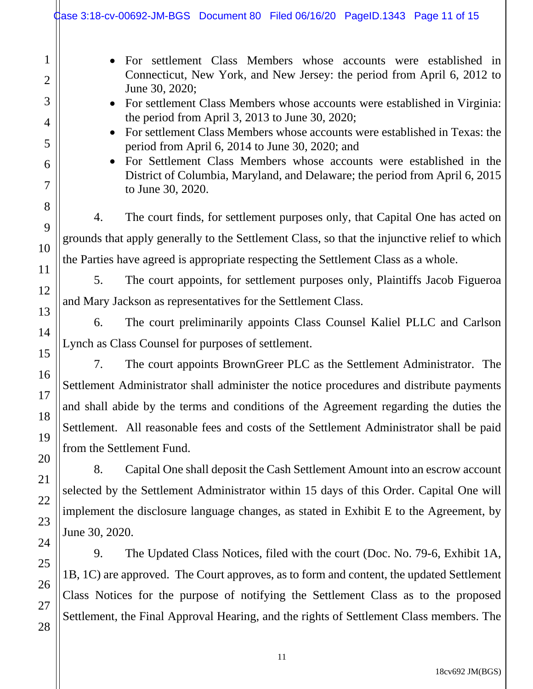| gase 3:18-cv-00692-JM-BGS Document 80 Filed 06/16/20 PageID.1343 Page 11 of 15                                                                                                                                                                                                                                                                                                                                                                                                                                                                                                                                 |  |  |  |  |
|----------------------------------------------------------------------------------------------------------------------------------------------------------------------------------------------------------------------------------------------------------------------------------------------------------------------------------------------------------------------------------------------------------------------------------------------------------------------------------------------------------------------------------------------------------------------------------------------------------------|--|--|--|--|
| • For settlement Class Members whose accounts were established in<br>Connecticut, New York, and New Jersey: the period from April 6, 2012 to<br>June 30, 2020;<br>• For settlement Class Members whose accounts were established in Virginia:<br>the period from April 3, 2013 to June 30, 2020;<br>For settlement Class Members whose accounts were established in Texas: the<br>period from April 6, 2014 to June 30, 2020; and<br>• For Settlement Class Members whose accounts were established in the<br>District of Columbia, Maryland, and Delaware; the period from April 6, 2015<br>to June 30, 2020. |  |  |  |  |
| The court finds, for settlement purposes only, that Capital One has acted on<br>4.                                                                                                                                                                                                                                                                                                                                                                                                                                                                                                                             |  |  |  |  |
| grounds that apply generally to the Settlement Class, so that the injunctive relief to which                                                                                                                                                                                                                                                                                                                                                                                                                                                                                                                   |  |  |  |  |
| the Parties have agreed is appropriate respecting the Settlement Class as a whole.                                                                                                                                                                                                                                                                                                                                                                                                                                                                                                                             |  |  |  |  |
| The court appoints, for settlement purposes only, Plaintiffs Jacob Figueroa<br>5.                                                                                                                                                                                                                                                                                                                                                                                                                                                                                                                              |  |  |  |  |
| and Mary Jackson as representatives for the Settlement Class.                                                                                                                                                                                                                                                                                                                                                                                                                                                                                                                                                  |  |  |  |  |
| The court preliminarily appoints Class Counsel Kaliel PLLC and Carlson<br>6.                                                                                                                                                                                                                                                                                                                                                                                                                                                                                                                                   |  |  |  |  |
| Lynch as Class Counsel for purposes of settlement.                                                                                                                                                                                                                                                                                                                                                                                                                                                                                                                                                             |  |  |  |  |
| The court appoints BrownGreer PLC as the Settlement Administrator. The<br>7.                                                                                                                                                                                                                                                                                                                                                                                                                                                                                                                                   |  |  |  |  |
| Settlement Administrator shall administer the notice procedures and distribute payments                                                                                                                                                                                                                                                                                                                                                                                                                                                                                                                        |  |  |  |  |
| and shall abide by the terms and conditions of the Agreement regarding the duties the                                                                                                                                                                                                                                                                                                                                                                                                                                                                                                                          |  |  |  |  |
| Settlement. All reasonable fees and costs of the Settlement Administrator shall be paid                                                                                                                                                                                                                                                                                                                                                                                                                                                                                                                        |  |  |  |  |
| from the Settlement Fund.                                                                                                                                                                                                                                                                                                                                                                                                                                                                                                                                                                                      |  |  |  |  |
| 8.<br>Capital One shall deposit the Cash Settlement Amount into an escrow account                                                                                                                                                                                                                                                                                                                                                                                                                                                                                                                              |  |  |  |  |
| selected by the Settlement Administrator within 15 days of this Order. Capital One will                                                                                                                                                                                                                                                                                                                                                                                                                                                                                                                        |  |  |  |  |
| implement the disclosure language changes, as stated in Exhibit E to the Agreement, by                                                                                                                                                                                                                                                                                                                                                                                                                                                                                                                         |  |  |  |  |
| June 30, 2020.                                                                                                                                                                                                                                                                                                                                                                                                                                                                                                                                                                                                 |  |  |  |  |
| 9.<br>The Updated Class Notices, filed with the court (Doc. No. 79-6, Exhibit 1A,                                                                                                                                                                                                                                                                                                                                                                                                                                                                                                                              |  |  |  |  |
| 1B, 1C) are approved. The Court approves, as to form and content, the updated Settlement                                                                                                                                                                                                                                                                                                                                                                                                                                                                                                                       |  |  |  |  |
| Class Notices for the purpose of notifying the Settlement Class as to the proposed                                                                                                                                                                                                                                                                                                                                                                                                                                                                                                                             |  |  |  |  |
| Settlement, the Final Approval Hearing, and the rights of Settlement Class members. The                                                                                                                                                                                                                                                                                                                                                                                                                                                                                                                        |  |  |  |  |
|                                                                                                                                                                                                                                                                                                                                                                                                                                                                                                                                                                                                                |  |  |  |  |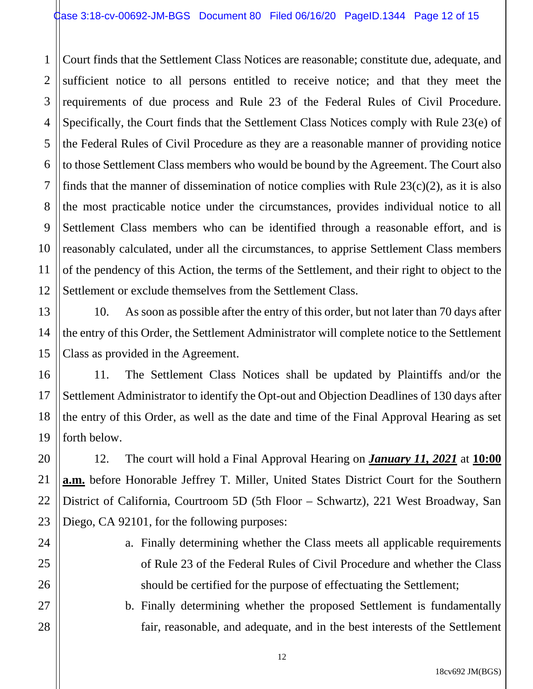1 2 3 4 Court finds that the Settlement Class Notices are reasonable; constitute due, adequate, and sufficient notice to all persons entitled to receive notice; and that they meet the requirements of due process and Rule 23 of the Federal Rules of Civil Procedure. Specifically, the Court finds that the Settlement Class Notices comply with Rule 23(e) of the Federal Rules of Civil Procedure as they are a reasonable manner of providing notice to those Settlement Class members who would be bound by the Agreement. The Court also finds that the manner of dissemination of notice complies with Rule  $23(c)(2)$ , as it is also the most practicable notice under the circumstances, provides individual notice to all Settlement Class members who can be identified through a reasonable effort, and is reasonably calculated, under all the circumstances, to apprise Settlement Class members of the pendency of this Action, the terms of the Settlement, and their right to object to the Settlement or exclude themselves from the Settlement Class.

10. As soon as possible after the entry of this order, but not later than 70 days after the entry of this Order, the Settlement Administrator will complete notice to the Settlement Class as provided in the Agreement.

11. The Settlement Class Notices shall be updated by Plaintiffs and/or the Settlement Administrator to identify the Opt-out and Objection Deadlines of 130 days after the entry of this Order, as well as the date and time of the Final Approval Hearing as set forth below.

12. The court will hold a Final Approval Hearing on *January 11, 2021* at **10:00 a.m.** before Honorable Jeffrey T. Miller, United States District Court for the Southern District of California, Courtroom 5D (5th Floor – Schwartz), 221 West Broadway, San Diego, CA 92101, for the following purposes:

> a. Finally determining whether the Class meets all applicable requirements of Rule 23 of the Federal Rules of Civil Procedure and whether the Class should be certified for the purpose of effectuating the Settlement;

> b. Finally determining whether the proposed Settlement is fundamentally fair, reasonable, and adequate, and in the best interests of the Settlement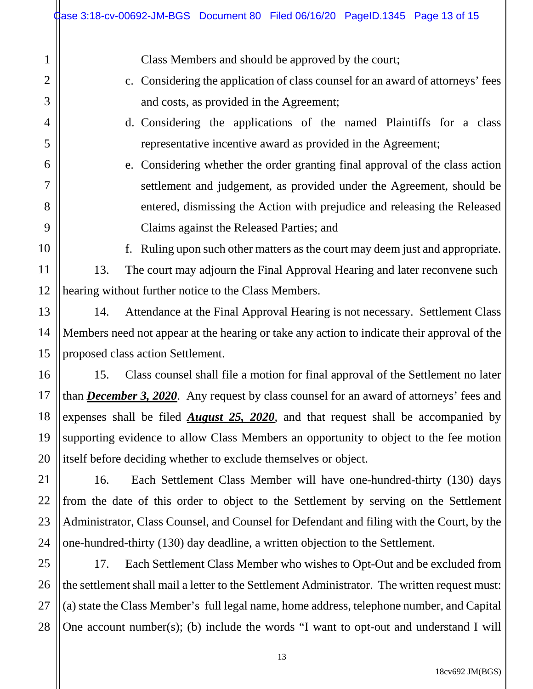|                | dase 3:18-cv-00692-JM-BGS Document 80 Filed 06/16/20 PageID.1345 Page 13 of 15                  |  |  |  |  |
|----------------|-------------------------------------------------------------------------------------------------|--|--|--|--|
| 1              | Class Members and should be approved by the court;                                              |  |  |  |  |
| $\overline{2}$ | c. Considering the application of class counsel for an award of attorneys' fees                 |  |  |  |  |
| 3              | and costs, as provided in the Agreement;                                                        |  |  |  |  |
| $\overline{4}$ | d. Considering the applications of the named Plaintiffs for a class                             |  |  |  |  |
| 5              | representative incentive award as provided in the Agreement;                                    |  |  |  |  |
| 6              | e. Considering whether the order granting final approval of the class action                    |  |  |  |  |
| $\overline{7}$ | settlement and judgement, as provided under the Agreement, should be                            |  |  |  |  |
| 8              | entered, dismissing the Action with prejudice and releasing the Released                        |  |  |  |  |
| 9              | Claims against the Released Parties; and                                                        |  |  |  |  |
| 10             | Ruling upon such other matters as the court may deem just and appropriate.<br>f.                |  |  |  |  |
| 11             | The court may adjourn the Final Approval Hearing and later reconvene such<br>13.                |  |  |  |  |
| 12             | hearing without further notice to the Class Members.                                            |  |  |  |  |
| 13             | Attendance at the Final Approval Hearing is not necessary. Settlement Class<br>14.              |  |  |  |  |
| 14             | Members need not appear at the hearing or take any action to indicate their approval of the     |  |  |  |  |
| 15             | proposed class action Settlement.                                                               |  |  |  |  |
| 16             | Class counsel shall file a motion for final approval of the Settlement no later<br>15.          |  |  |  |  |
| 17             | than <i>December 3, 2020</i> . Any request by class counsel for an award of attorneys' fees and |  |  |  |  |
| 18             | expenses shall be filed $\Delta u$ gust 25, 2020, and that request shall be accompanied by      |  |  |  |  |
| 19             | supporting evidence to allow Class Members an opportunity to object to the fee motion           |  |  |  |  |
| 20             | itself before deciding whether to exclude themselves or object.                                 |  |  |  |  |
| 21             | 16.<br>Each Settlement Class Member will have one-hundred-thirty (130) days                     |  |  |  |  |
| 22             | from the date of this order to object to the Settlement by serving on the Settlement            |  |  |  |  |
| 23             | Administrator, Class Counsel, and Counsel for Defendant and filing with the Court, by the       |  |  |  |  |
| 24             | one-hundred-thirty (130) day deadline, a written objection to the Settlement.                   |  |  |  |  |
| 25             | 17.<br>Each Settlement Class Member who wishes to Opt-Out and be excluded from                  |  |  |  |  |
| 26             | the settlement shall mail a letter to the Settlement Administrator. The written request must:   |  |  |  |  |
|                |                                                                                                 |  |  |  |  |

27 28 (a) state the Class Member's full legal name, home address, telephone number, and Capital One account number(s); (b) include the words "I want to opt-out and understand I will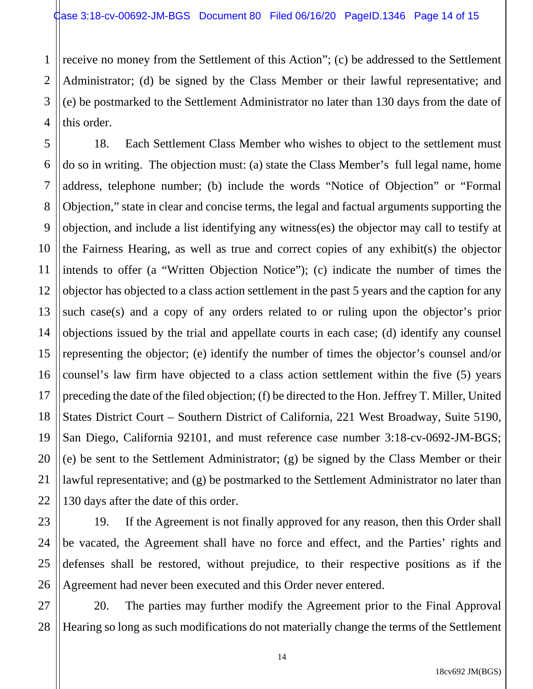1

7

11

21

2 3 4 receive no money from the Settlement of this Action"; (c) be addressed to the Settlement Administrator; (d) be signed by the Class Member or their lawful representative; and (e) be postmarked to the Settlement Administrator no later than 130 days from the date of this order.

5 6 8 9 10 12 13 14 15 16 17 18 19 20 22 18. Each Settlement Class Member who wishes to object to the settlement must do so in writing. The objection must: (a) state the Class Member's full legal name, home address, telephone number; (b) include the words "Notice of Objection" or "Formal Objection," state in clear and concise terms, the legal and factual arguments supporting the objection, and include a list identifying any witness(es) the objector may call to testify at the Fairness Hearing, as well as true and correct copies of any exhibit(s) the objector intends to offer (a "Written Objection Notice"); (c) indicate the number of times the objector has objected to a class action settlement in the past 5 years and the caption for any such case(s) and a copy of any orders related to or ruling upon the objector's prior objections issued by the trial and appellate courts in each case; (d) identify any counsel representing the objector; (e) identify the number of times the objector's counsel and/or counsel's law firm have objected to a class action settlement within the five (5) years preceding the date of the filed objection; (f) be directed to the Hon. Jeffrey T. Miller, United States District Court – Southern District of California, 221 West Broadway, Suite 5190, San Diego, California 92101, and must reference case number 3:18-cv-0692-JM-BGS; (e) be sent to the Settlement Administrator; (g) be signed by the Class Member or their lawful representative; and (g) be postmarked to the Settlement Administrator no later than 130 days after the date of this order.

23 24 25 26 19. If the Agreement is not finally approved for any reason, then this Order shall be vacated, the Agreement shall have no force and effect, and the Parties' rights and defenses shall be restored, without prejudice, to their respective positions as if the Agreement had never been executed and this Order never entered.

27 28 20. The parties may further modify the Agreement prior to the Final Approval Hearing so long as such modifications do not materially change the terms of the Settlement